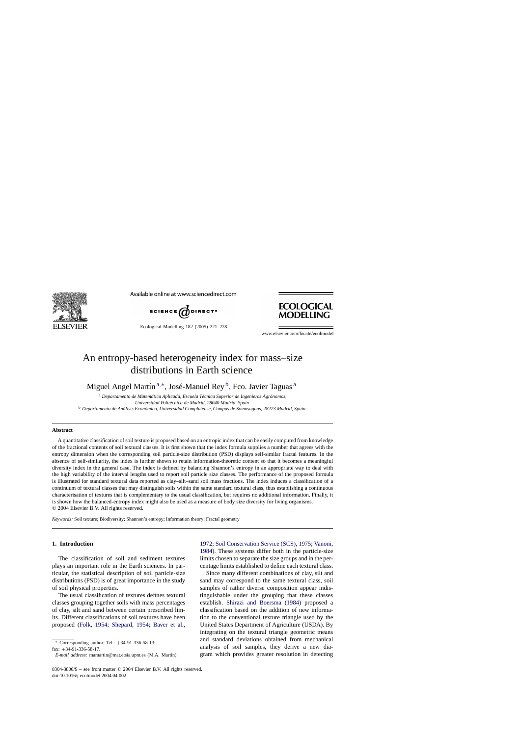

Available online at www.sciencedirect.com



Ecological Modelling 182 (2005) 221–228



www.elsevier.com/locate/ecolmodel

# An entropy-based heterogeneity index for mass–size distributions in Earth science

Miguel Angel Martín<sup>a,∗</sup>, José-Manuel Rey<sup>b</sup>, Fco. Javier Taguas<sup>a</sup>

<sup>a</sup> *Departamento de Matemática Aplicada, Escuela Técnica Superior de Ingenieros Agrónomos, Universidad Politécnica de Madrid, 28040 Madrid, Spain* <sup>b</sup> *Departamento de Análisis Económico, Universidad Complutense, Campus de Somosaguas, 28223 Madrid, Spain*

#### **Abstract**

A quantitative classification of soil texture is proposed based on an entropic index that can be easily computed from knowledge of the fractional contents of soil textural classes. It is first shown that the index formula supplies a number that agrees with the entropy dimension when the corresponding soil particle-size distribution (PSD) displays self-similar fractal features. In the absence of self-similarity, the index is further shown to retain information-theoretic content so that it becomes a meaningful diversity index in the general case. The index is defined by balancing Shannon's entropy in an appropriate way to deal with the high variability of the interval lengths used to report soil particle size classes. The performance of the proposed formula is illustrated for standard textural data reported as clay–silt–sand soil mass fractions. The index induces a classification of a continuum of textural classes that may distinguish soils within the same standard textural class, thus establishing a continuous characterisation of textures that is complementary to the usual classification, but requires no additional information. Finally, it is shown how the balanced-entropy index might also be used as a measure of body size diversity for living organisms. © 2004 Elsevier B.V. All rights reserved.

*Keywords:* Soil texture; Biodiversity; Shannon's entropy; Information theory; Fractal geometry

# **1. Introduction**

The classification of soil and sediment textures plays an important role in the Earth sciences. In particular, the statistical description of soil particle-size distributions (PSD) is of great importance in the study of soil physical properties.

The usual classification of textures defines textural classes grouping together soils with mass percentages of clay, silt and sand between certain prescribed limits. Different classifications of soil textures have been proposed ([Folk, 1954; Shepard, 1954; Baver et al.](#page-7-0),

fax: +34-91-336-58-17.

[1972;](#page-7-0) [Soil Conservation Service \(SCS\), 1975;](#page-7-0) [Vanoni,](#page-7-0) [1984\).](#page-7-0) These systems differ both in the particle-size limits chosen to separate the size groups and in the percentage limits established to define each textural class.

Since many different combinations of clay, silt and sand may correspond to the same textural class, soil samples of rather diverse composition appear indistinguishable under the grouping that these classes establish. [Shirazi and Boersma \(1984\)](#page-7-0) proposed a classification based on the addition of new information to the conventional texture triangle used by the United States Department of Agriculture (USDA). By integrating on the textural triangle geometric means and standard deviations obtained from mechanical analysis of soil samples, they derive a new diagram which provides greater resolution in detecting

Corresponding author. Tel.:  $+34-91-336-58-13$ ;

*E-mail address:* mamartin@mat.etsia.upm.es (M.A. Martín).

<sup>0304-3800/\$ –</sup> see front matter © 2004 Elsevier B.V. All rights reserved. doi:10.1016/j.ecolmodel.2004.04.002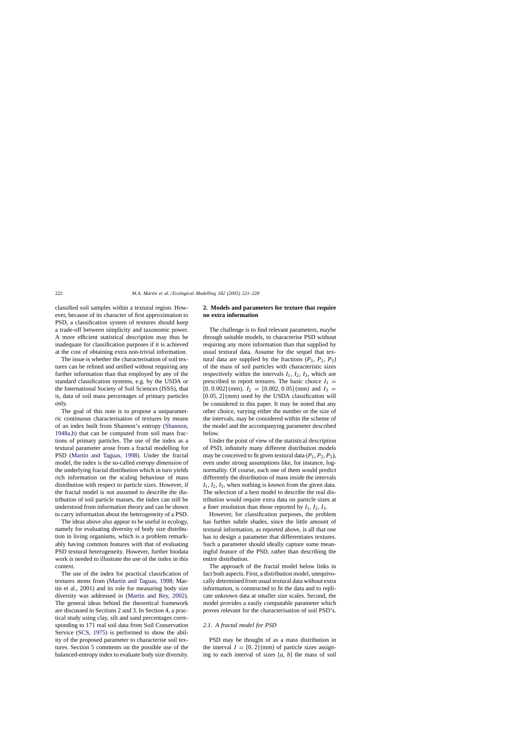classified soil samples within a textural region. However, because of its character of first approximation to PSD, a classification system of textures should keep a trade-off between simplicity and taxonomic power. A more efficient statistical description may thus be inadequate for classification purposes if it is achieved at the cost of obtaining extra non-trivial information.

The issue is whether the characterisation of soil textures can be refined and unified without requiring any further information than that employed by any of the standard classification systems, e.g. by the USDA or the International Society of Soil Sciences (ISSS), that is, data of soil mass percentages of primary particles only.

The goal of this note is to propose a uniparametric continuous characterisation of textures by means of an index built from Shannon's entropy [\(Shannon,](#page-7-0) [1948a,b\)](#page-7-0) that can be computed from soil mass fractions of primary particles. The use of the index as a textural parameter arose from a fractal modelling for PSD (Martín and Taguas, 1998). Under the fractal model, the index is the so-called *entropy dimension* of the underlying fractal distribution which in turn yields rich information on the scaling behaviour of mass distribution with respect to particle sizes. However, if the fractal model is not assumed to describe the distribution of soil particle masses, the index can still be understood from information theory and can be shown to carry information about the heterogeneity of a PSD.

The ideas above also appear to be useful in ecology, namely for evaluating diversity of body size distribution in living organisms, which is a problem remarkably having common features with that of evaluating PSD textural heterogeneity. However, further biodata work is needed to illustrate the use of the index in this context.

The use of the index for practical classification of textures stems from (Martín and Taguas, 1998; Martin et al., 2001) and its role for measuring body size diversity was addressed in (Martín and Rey, 2002). The general ideas behind the theoretical framework are discussed in Sections 2 and 3. In Section 4, a practical study using clay, silt and sand percentages corresponding to 171 real soil data from Soil Conservation Service [\(SCS, 1975\)](#page-7-0) is performed to show the ability of the proposed parameter to characterise soil textures. Section 5 comments on the possible use of the balanced-entropy index to evaluate body size diversity.

# **2. Models and parameters for texture that require no extra information**

The challenge is to find relevant parameters, maybe through suitable models, to characterise PSD without requiring any more information than that supplied by usual textural data. Assume for the sequel that textural data are supplied by the fractions  $(P_1, P_2, P_3)$ of the mass of soil particles with characteristic sizes respectively within the intervals  $I_1$ ,  $I_2$ ,  $I_3$ , which are prescribed to report textures. The basic choice  $I_1 =$  $[0, 0.002]$  (mm),  $I_2 = [0.002, 0.05]$  (mm) and  $I_3 =$ [0.05, 2] (mm) used by the USDA classification will be considered in this paper. It may be noted that any other choice, varying either the number or the size of the intervals, may be considered within the scheme of the model and the accompanying parameter described below.

Under the point of view of the statistical description of PSD, infinitely many different distribution models may be conceived to fit given textural data  $(P_1, P_2, P_3)$ , even under strong assumptions like, for instance, lognormality. Of course, each one of them would predict differently the distribution of mass inside the intervals *I*1, *I*2, *I*3, when nothing is known from the given data. The selection of a best model to describe the real distribution would require extra data on particle sizes at a finer resolution than those reported by  $I_1$ ,  $I_2$ ,  $I_3$ .

However, for classification purposes, the problem has further subtle shades, since the little amount of textural information, as reported above, is all that one has to design a parameter that differentiates textures. Such a parameter should ideally capture some meaningful feature of the PSD, rather than describing the entire distribution.

The approach of the fractal model below links in fact both aspects. First, a distribution model, unequivocally determined from usual textural data without extra information, is constructed to fit the data and to replicate unknown data at smaller size scales. Second, the model provides a easily computable parameter which proves relevant for the characterisation of soil PSD's.

#### *2.1. A fractal model for PSD*

PSD may be thought of as a mass distribution in the interval  $I = [0, 2]$  (mm) of particle sizes assigning to each interval of sizes [*a*, *b*] the mass of soil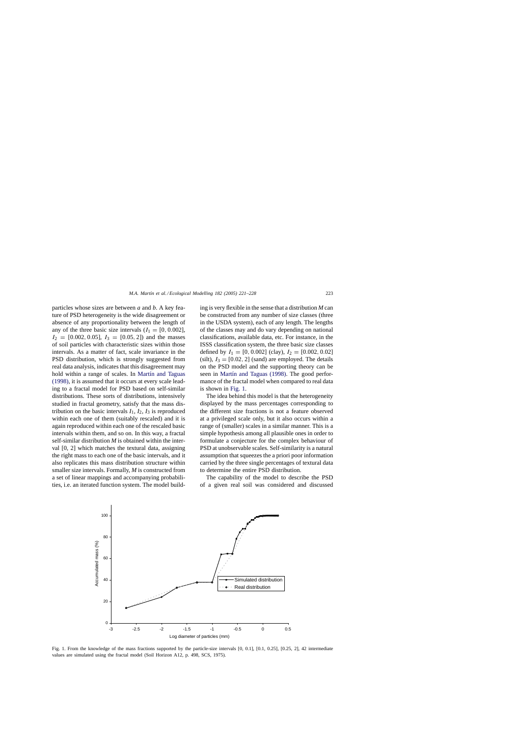<span id="page-2-0"></span>particles whose sizes are between *a* and *b*. A key feature of PSD heterogeneity is the wide disagreement or absence of any proportionality between the length of any of the three basic size intervals  $(I_1 = [0, 0.002],$  $I_2 = [0.002, 0.05], I_3 = [0.05, 2])$  and the masses of soil particles with characteristic sizes within those intervals. As a matter of fact, scale invariance in the PSD distribution, which is strongly suggested from real data analysis, indicates that this disagreement may hold within a range of scales. In Martín and Taguas [\(1998\), i](#page-7-0)t is assumed that it occurs at every scale leading to a fractal model for PSD based on self-similar distributions. These sorts of distributions, intensively studied in fractal geometry, satisfy that the mass distribution on the basic intervals  $I_1$ ,  $I_2$ ,  $I_3$  is reproduced within each one of them (suitably rescaled) and it is again reproduced within each one of the rescaled basic intervals within them, and so on. In this way, a fractal self-similar distribution *M* is obtained within the interval [0, 2] which matches the textural data, assigning the right mass to each one of the basic intervals, and it also replicates this mass distribution structure within smaller size intervals. Formally, *M* is constructed from a set of linear mappings and accompanying probabilities, i.e. an iterated function system. The model building is very flexible in the sense that a distribution *M* can be constructed from any number of size classes (three in the USDA system), each of any length. The lengths of the classes may and do vary depending on national classifications, available data, etc. For instance, in the ISSS classification system, the three basic size classes defined by  $I_1 = [0, 0.002]$  (clay),  $I_2 = [0.002, 0.02]$ (silt),  $I_3 = [0.02, 2]$  (sand) are employed. The details on the PSD model and the supporting theory can be seen in Martín and Taguas (1998). The good performance of the fractal model when compared to real data is shown in Fig. 1.

The idea behind this model is that the heterogeneity displayed by the mass percentages corresponding to the different size fractions is not a feature observed at a privileged scale only, but it also occurs within a range of (smaller) scales in a similar manner. This is a simple hypothesis among all plausible ones in order to formulate a conjecture for the complex behaviour of PSD at unobservable scales. Self-similarity is a natural assumption that squeezes the a priori poor information carried by the three single percentages of textural data to determine the entire PSD distribution.

The capability of the model to describe the PSD of a given real soil was considered and discussed



Fig. 1. From the knowledge of the mass fractions supported by the particle-size intervals [0, 0.1], [0.1, 0.25], [0.25, 2], 42 intermediate values are simulated using the fractal model (Soil Horizon A12, p. 498, SCS, 1975).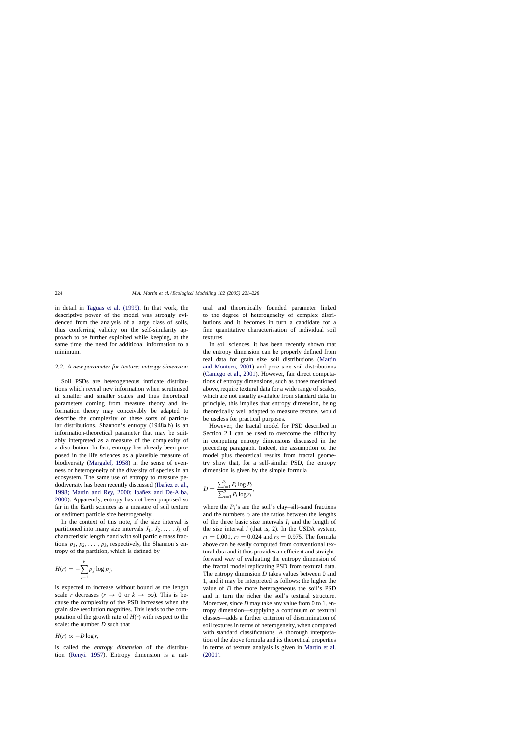in detail in [Taguas et al. \(1999\).](#page-7-0) In that work, the descriptive power of the model was strongly evidenced from the analysis of a large class of soils, thus conferring validity on the self-similarity approach to be further exploited while keeping, at the same time, the need for additional information to a minimum.

## *2.2. A new parameter for texture: entropy dimension*

Soil PSDs are heterogeneous intricate distributions which reveal new information when scrutinised at smaller and smaller scales and thus theoretical parameters coming from measure theory and information theory may conceivably be adapted to describe the complexity of these sorts of particular distributions. Shannon's entropy (1948a,b) is an information-theoretical parameter that may be suitably interpreted as a measure of the complexity of a distribution. In fact, entropy has already been proposed in the life sciences as a plausible measure of biodiversity [\(Margalef, 1958\)](#page-7-0) in the sense of evenness or heterogeneity of the diversity of species in an ecosystem. The same use of entropy to measure pedodiversity has been recently discussed [\(Ibañez et al.,](#page-7-0) 1998; Martín and Rey, 2000; Ibañez and De-Alba, [2000\).](#page-7-0) Apparently, entropy has not been proposed so far in the Earth sciences as a measure of soil texture or sediment particle size heterogeneity.

In the context of this note, if the size interval is partitioned into many size intervals  $J_1, J_2, \ldots, J_k$  of characteristic length *r* and with soil particle mass fractions  $p_1, p_2, \ldots, p_k$ , respectively, the Shannon's entropy of the partition, which is defined by

$$
H(r) = -\sum_{j=1}^{k} p_j \log p_j,
$$

is expected to increase without bound as the length scale *r* decreases  $(r \to 0 \text{ or } k \to \infty)$ . This is because the complexity of the PSD increases when the grain size resolution magnifies. This leads to the computation of the growth rate of  $H(r)$  with respect to the scale: the number *D* such that

 $H(r) \propto -D \log r$ ,

is called the *entropy dimension* of the distribution [\(Renyi, 1957\)](#page-7-0). Entropy dimension is a natural and theoretically founded parameter linked to the degree of heterogeneity of complex distributions and it becomes in turn a candidate for a fine quantitative characterisation of individual soil textures.

In soil sciences, it has been recently shown that the entropy dimension can be properly defined from real data for grain size soil distributions (Martín [and Montero, 2001\)](#page-7-0) and pore size soil distributions ([Caniego et al., 2001\).](#page-6-0) However, fair direct computations of entropy dimensions, such as those mentioned above, require textural data for a wide range of scales, which are not usually available from standard data. In principle, this implies that entropy dimension, being theoretically well adapted to measure texture, would be useless for practical purposes.

However, the fractal model for PSD described in Section 2.1 can be used to overcome the difficulty in computing entropy dimensions discussed in the preceding paragraph. Indeed, the assumption of the model plus theoretical results from fractal geometry show that, for a self-similar PSD, the entropy dimension is given by the simple formula

$$
D = \frac{\sum_{i=1}^{3} P_i \log P_i}{\sum_{i=1}^{3} P_i \log r_i},
$$

where the  $P_i$ 's are the soil's clay–silt–sand fractions and the numbers  $r_i$  are the ratios between the lengths of the three basic size intervals  $I_i$  and the length of the size interval  $I$  (that is, 2). In the USDA system,  $r_1 = 0.001$ ,  $r_2 = 0.024$  and  $r_3 = 0.975$ . The formula above can be easily computed from conventional textural data and it thus provides an efficient and straightforward way of evaluating the entropy dimension of the fractal model replicating PSD from textural data. The entropy dimension *D* takes values between 0 and 1, and it may be interpreted as follows: the higher the value of *D* the more heterogeneous the soil's PSD and in turn the richer the soil's textural structure. Moreover, since *D* may take any value from 0 to 1, entropy dimension—supplying a continuum of textural classes—adds a further criterion of discrimination of soil textures in terms of heterogeneity, when compared with standard classifications. A thorough interpretation of the above formula and its theoretical properties in terms of texture analysis is given in Martín et al. [\(2001\).](#page-7-0)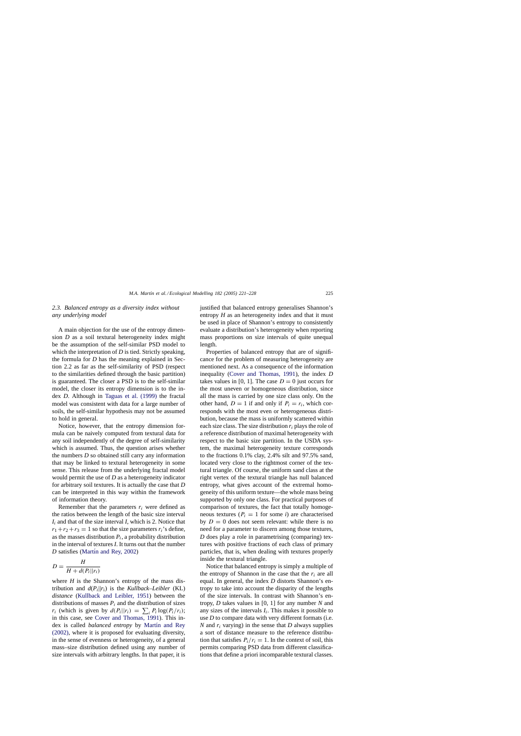# *2.3. Balanced entropy as a diversity index without any underlying model*

A main objection for the use of the entropy dimension *D* as a soil textural heterogeneity index might be the assumption of the self-similar PSD model to which the interpretation of *D* is tied. Strictly speaking, the formula for *D* has the meaning explained in Section 2.2 as far as the self-similarity of PSD (respect to the similarities defined through the basic partition) is guaranteed. The closer a PSD is to the self-similar model, the closer its entropy dimension is to the index *D*. Although in [Taguas et al. \(1999\)](#page-7-0) the fractal model was consistent with data for a large number of soils, the self-similar hypothesis may not be assumed to hold in general.

Notice, however, that the entropy dimension formula can be naively computed from textural data for any soil independently of the degree of self-similarity which is assumed. Thus, the question arises whether the numbers *D* so obtained still carry any information that may be linked to textural heterogeneity in some sense. This release from the underlying fractal model would permit the use of *D* as a heterogeneity indicator for arbitrary soil textures. It is actually the case that *D* can be interpreted in this way within the framework of information theory.

Remember that the parameters  $r_i$  were defined as the ratios between the length of the basic size interval  $I_i$  and that of the size interval *I*, which is 2. Notice that  $r_1 + r_2 + r_3 = 1$  so that the size parameters  $r_i$ 's define, as the masses distribution  $P_i$ , a probability distribution in the interval of textures *I*. It turns out that the number *D* satisfies (Martín and Rey, 2002)

$$
D = \frac{H}{H + d(P_i||r_i)}
$$

where  $H$  is the Shannon's entropy of the mass distribution and  $d(P_i||r_i)$  is the *Kullback–Leibler* (KL) *distance* ([Kullback and Leibler, 1951](#page-7-0)) between the distributions of masses  $P_i$  and the distribution of sizes  $r_i$  (which is given by  $d(P_i||r_i) = \sum_i P_i \log(P_i/r_i);$ in this case, see [Cover and Thomas, 1991\)](#page-6-0). This index is called *balanced entropy* by Martín and Rey [\(2002\),](#page-7-0) where it is proposed for evaluating diversity, in the sense of evenness or heterogeneity, of a general mass–size distribution defined using any number of size intervals with arbitrary lengths. In that paper, it is justified that balanced entropy generalises Shannon's entropy *H* as an heterogeneity index and that it must be used in place of Shannon's entropy to consistently evaluate a distribution's heterogeneity when reporting mass proportions on size intervals of quite unequal length.

Properties of balanced entropy that are of significance for the problem of measuring heterogeneity are mentioned next. As a consequence of the information inequality [\(Cover and Thomas, 1991\)](#page-6-0), the index *D* takes values in [0, 1]. The case  $D = 0$  just occurs for the most uneven or homogeneous distribution, since all the mass is carried by one size class only. On the other hand,  $D = 1$  if and only if  $P_i = r_i$ , which corresponds with the most even or heterogeneous distribution, because the mass is uniformly scattered within each size class. The size distribution  $r_i$  plays the role of a reference distribution of maximal heterogeneity with respect to the basic size partition. In the USDA system, the maximal heterogeneity texture corresponds to the fractions 0.1% clay, 2.4% silt and 97.5% sand, located very close to the rightmost corner of the textural triangle. Of course, the uniform sand class at the right vertex of the textural triangle has null balanced entropy, what gives account of the extremal homogeneity of this uniform texture—the whole mass being supported by only one class. For practical purposes of comparison of textures, the fact that totally homogeneous textures ( $P_i = 1$  for some *i*) are characterised by  $D = 0$  does not seem relevant: while there is no need for a parameter to discern among those textures, *D* does play a role in parametrising (comparing) textures with positive fractions of each class of primary particles, that is, when dealing with textures properly inside the textural triangle.

Notice that balanced entropy is simply a multiple of the entropy of Shannon in the case that the  $r_i$  are all equal. In general, the index *D* distorts Shannon's entropy to take into account the disparity of the lengths of the size intervals. In contrast with Shannon's entropy, *D* takes values in [0, 1] for any number *N* and any sizes of the intervals  $I_i$ . This makes it possible to use *D* to compare data with very different formats (i.e. *N* and  $r_i$  varying) in the sense that *D* always supplies a sort of distance measure to the reference distribution that satisfies  $P_i/r_i = 1$ . In the context of soil, this permits comparing PSD data from different classifications that define a priori incomparable textural classes.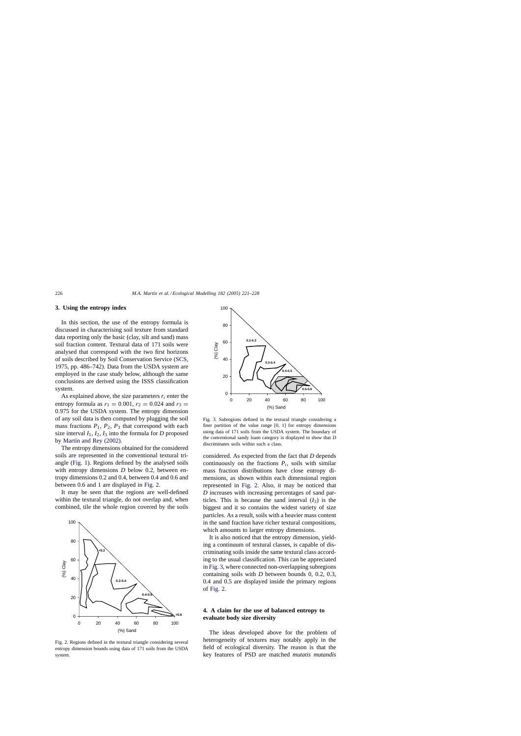## **3. Using the entropy index**

In this section, the use of the entropy formula is discussed in characterising soil texture from standard data reporting only the basic (clay, silt and sand) mass soil fraction content. Textural data of 171 soils were analysed that correspond with the two first horizons of soils described by Soil Conservation Service [\(SCS,](#page-7-0) [1975,](#page-7-0) pp. 486–742). Data from the USDA system are employed in the case study below, although the same conclusions are derived using the ISSS classification system.

As explained above, the size parameters  $r_i$  enter the entropy formula as  $r_1 = 0.001$ ,  $r_2 = 0.024$  and  $r_3 =$ 0.975 for the USDA system. The entropy dimension of any soil data is then computed by plugging the soil mass fractions  $P_1$ ,  $P_2$ ,  $P_3$  that correspond with each size interval  $I_1$ ,  $I_2$ ,  $I_3$  into the formula for *D* proposed by Martín and Rey (2002).

The entropy dimensions obtained for the considered soils are represented in the conventional textural triangle [\(Fig. 1\).](#page-2-0) Regions defined by the analysed soils with entropy dimensions *D* below 0.2, between entropy dimensions 0.2 and 0.4, between 0.4 and 0.6 and between 0.6 and 1 are displayed in Fig. 2.

It may be seen that the regions are well-defined within the textural triangle, do not overlap and, when combined, tile the whole region covered by the soils



Fig. 2. Regions defined in the textural triangle considering several entropy dimension bounds using data of 171 soils from the USDA system.



Fig. 3. Subregions defined in the textural triangle considering a finer partition of the value range [0, 1] for entropy dimensions using data of 171 soils from the USDA system. The boundary of the conventional sandy loam category is displayed to show that *D* discriminates soils within such a class.

considered. As expected from the fact that *D* depends continuously on the fractions  $P_i$ , soils with similar mass fraction distributions have close entropy dimensions, as shown within each dimensional region represented in Fig. 2. Also, it may be noticed that *D* increases with increasing percentages of sand particles. This is because the sand interval  $(I_3)$  is the biggest and it so contains the widest variety of size particles. As a result, soils with a heavier mass content in the sand fraction have richer textural compositions, which amounts to larger entropy dimensions.

It is also noticed that the entropy dimension, yielding a continuum of textural classes, is capable of discriminating soils inside the same textural class according to the usual classification. This can be appreciated in Fig. 3, where connected non-overlapping subregions containing soils with *D* between bounds 0, 0.2, 0.3, 0.4 and 0.5 are displayed inside the primary regions of Fig. 2.

## **4. A claim for the use of balanced entropy to evaluate body size diversity**

The ideas developed above for the problem of heterogeneity of textures may notably apply in the field of ecological diversity. The reason is that the key features of PSD are matched *mutatis mutandis*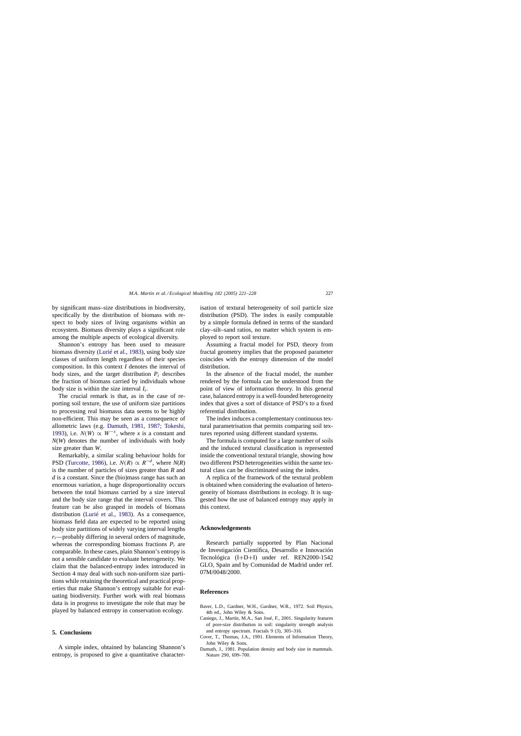<span id="page-6-0"></span>by significant mass–size distributions in biodiversity, specifically by the distribution of biomass with respect to body sizes of living organisms within an ecosystem. Biomass diversity plays a significant role among the multiple aspects of ecological diversity.

Shannon's entropy has been used to measure biomass diversity [\(Lurié et al., 1983\),](#page-7-0) using body size classes of uniform length regardless of their species composition. In this context *I* denotes the interval of body sizes, and the target distribution  $P_i$  describes the fraction of biomass carried by individuals whose body size is within the size interval *I*i.

The crucial remark is that, as in the case of reporting soil texture, the use of uniform size partitions to processing real biomasss data seems to be highly non-efficient. This may be seen as a consequence of allometric laws (e.g. Damuth, 1981, 1987; Tokeshi, 1993), i.e.  $N(W) \propto W^{-x}$ , where *x* is a constant and *N*(*W*) denotes the number of individuals with body size greater than *W*.

Remarkably, a similar scaling behaviour holds for PSD [\(Turcotte, 1986\),](#page-7-0) i.e.  $N(R) \propto R^{-d}$ , where  $N(R)$ is the number of particles of sizes greater than *R* and *d* is a constant. Since the (bio)mass range has such an enormous variation, a huge disproportionality occurs between the total biomass carried by a size interval and the body size range that the interval covers. This feature can be also grasped in models of biomass distribution ([Lurié et al., 1983\)](#page-7-0). As a consequence, biomass field data are expected to be reported using body size partitions of widely varying interval lengths *r*i—probably differing in several orders of magnitude, whereas the corresponding biomass fractions  $P_i$  are comparable. In these cases, plain Shannon's entropy is not a sensible candidate to evaluate heterogeneity. We claim that the balanced-entropy index introduced in Section 4 may deal with such non-uniform size partitions while retaining the theoretical and practical properties that make Shannon's entropy suitable for evaluating biodiversity. Further work with real biomass data is in progress to investigate the role that may be played by balanced entropy in conservation ecology.

## **5. Conclusions**

A simple index, obtained by balancing Shannon's entropy, is proposed to give a quantitative characterisation of textural heterogeneity of soil particle size distribution (PSD). The index is easily computable by a simple formula defined in terms of the standard clay–silt–sand ratios, no matter which system is employed to report soil texture.

Assuming a fractal model for PSD, theory from fractal geometry implies that the proposed parameter coincides with the entropy dimension of the model distribution.

In the absence of the fractal model, the number rendered by the formula can be understood from the point of view of information theory. In this general case, balanced entropy is a well-founded heterogeneity index that gives a sort of distance of PSD's to a fixed referential distribution.

The index induces a complementary continuous textural parametrisation that permits comparing soil textures reported using different standard systems.

The formula is computed for a large number of soils and the induced textural classification is represented inside the conventional textural triangle, showing how two different PSD heterogeneities within the same textural class can be discriminated using the index.

A replica of the framework of the textural problem is obtained when considering the evaluation of heterogeneity of biomass distributions in ecology. It is suggested how the use of balanced entropy may apply in this context.

### **Acknowledgements**

Research partially supported by Plan Nacional de Investigación Científica, Desarrollo e Innovación Tecnológica (I+D+I) under ref. REN2000-1542 GLO, Spain and by Comunidad de Madrid under ref. 07M/0048/2000.

#### **References**

- Baver, L.D., Gardner, W.H., Gardner, W.R., 1972. Soil Physics, 4th ed., John Wiley & Sons.
- Caniego, J., Martín, M.A., San José, F., 2001. Singularity features of pore-size distribution in soil: singularity strength analysis and entropy spectrum. Fractals 9 (3), 305–316.
- Cover, T., Thomas, J.A., 1991. Elements of Information Theory, John Wiley & Sons.
- Damuth, J., 1981. Population density and body size in mammals. Nature 290, 699–700.